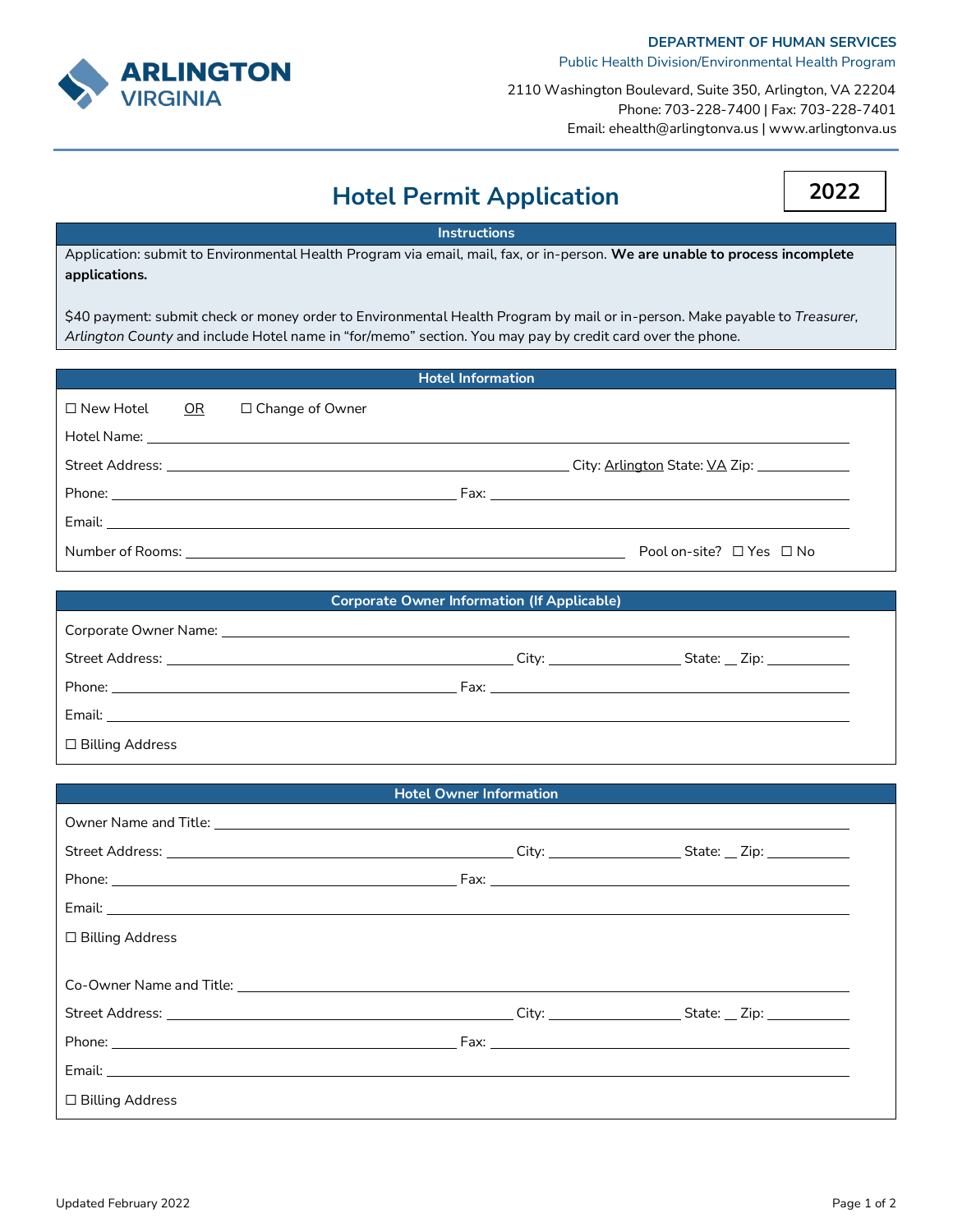

2110 Washington Boulevard, Suite 350, Arlington, VA 22204 Phone: 703-228-7400 | Fax: 703-228-7401 Email: ehealth@arlingtonva.us | www.arlingtonva.us

|  | <b>Hotel Permit Application</b> |  |
|--|---------------------------------|--|
|--|---------------------------------|--|

**2022**

## **Instructions**

Application: submit to Environmental Health Program via email, mail, fax, or in-person. **We are unable to process incomplete applications.**

\$40 payment: submit check or money order to Environmental Health Program by mail or in-person. Make payable to *Treasurer, Arlington County* and include Hotel name in "for/memo" section. You may pay by credit card over the phone.

| <b>Hotel Information</b> |  |                        |  |                                    |
|--------------------------|--|------------------------|--|------------------------------------|
| $\Box$ New Hotel OR      |  | $\Box$ Change of Owner |  |                                    |
|                          |  |                        |  |                                    |
|                          |  |                        |  |                                    |
|                          |  |                        |  |                                    |
|                          |  |                        |  |                                    |
|                          |  |                        |  | Pool on-site? $\Box$ Yes $\Box$ No |

| <b>Corporate Owner Information (If Applicable)</b>                                                                                                                                                                                   |  |  |  |
|--------------------------------------------------------------------------------------------------------------------------------------------------------------------------------------------------------------------------------------|--|--|--|
| Corporate Owner Name: Name: 1996 and 2008 and 2008 and 2008 and 2008 and 2008 and 2008 and 2008 and 2008 and 20                                                                                                                      |  |  |  |
|                                                                                                                                                                                                                                      |  |  |  |
| Phone: <u>Alexander Alexander Alexander Alexander Alexander Alexander Alexander Alexander Alexander Alexander Alexander Alexander Alexander Alexander Alexander Alexander Alexander Alexander Alexander Alexander Alexander Alex</u> |  |  |  |
|                                                                                                                                                                                                                                      |  |  |  |
| □ Billing Address                                                                                                                                                                                                                    |  |  |  |

|                                                                                                                 | <b>Hotel Owner Information</b> |  |
|-----------------------------------------------------------------------------------------------------------------|--------------------------------|--|
|                                                                                                                 |                                |  |
|                                                                                                                 |                                |  |
|                                                                                                                 |                                |  |
|                                                                                                                 |                                |  |
| □ Billing Address                                                                                               |                                |  |
|                                                                                                                 |                                |  |
| Co-Owner Name and Title: Law Management Communication of the Contract of the Communication of the Communication |                                |  |
|                                                                                                                 |                                |  |
|                                                                                                                 |                                |  |
|                                                                                                                 |                                |  |
| □ Billing Address                                                                                               |                                |  |